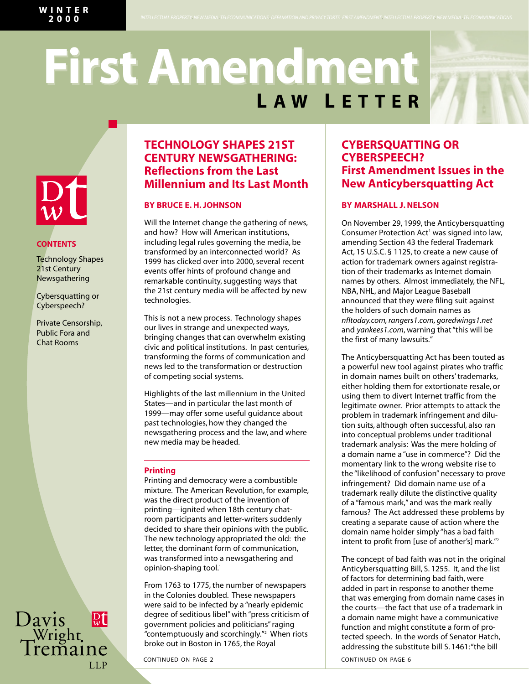*INTELLECTUAL PROPERTY . NEW MEDIA . TELECOMMUNICATIONS . DEFAMATION AND PRIVACY TORTS . FIRST AMENDMENT . INTELLECTUAL PROPERTY . NEW MEDIA . TELECOMMUNICATIONS*

# **L AW L ETTER First Amendment First Amendment**



## **CONTENTS**

Technology Shapes 21st Century Newsgathering

Cybersquatting or Cyberspeech?

Private Censorship, Public Fora and Chat Rooms

Davis<br>Wright<br>Tremaine

 $\sqrt{\frac{D}{W}}$ 

LLP

# **TECHNOLOGY SHAPES 21ST CENTURY NEWSGATHERING: Reflections from the Last Millennium and Its Last Month**

## **BY BRUCE E. H. JOHNSON**

Will the Internet change the gathering of news, and how? How will American institutions, including legal rules governing the media, be transformed by an interconnected world? As 1999 has clicked over into 2000, several recent events offer hints of profound change and remarkable continuity, suggesting ways that the 21st century media will be affected by new technologies.

This is not a new process. Technology shapes our lives in strange and unexpected ways, bringing changes that can overwhelm existing civic and political institutions. In past centuries, transforming the forms of communication and news led to the transformation or destruction of competing social systems.

Highlights of the last millennium in the United States—and in particular the last month of 1999—may offer some useful guidance about past technologies, how they changed the newsgathering process and the law, and where new media may be headed.

## **Printing**

Printing and democracy were a combustible mixture. The American Revolution, for example, was the direct product of the invention of printing—ignited when 18th century chatroom participants and letter-writers suddenly decided to share their opinions with the public. The new technology appropriated the old: the letter, the dominant form of communication, was transformed into a newsgathering and opinion-shaping tool.<sup>1</sup>

From 1763 to 1775, the number of newspapers in the Colonies doubled. These newspapers were said to be infected by a "nearly epidemic degree of seditious libel" with "press criticism of government policies and politicians" raging "contemptuously and scorchingly."2 When riots broke out in Boston in 1765, the Royal

### CONTINUED ON PAGE 2 CONTINUED ON PAGE 6

# **CYBERSQUATTING OR CYBERSPEECH? First Amendment Issues in the New Anticybersquatting Act**

## **BY MARSHALL J. NELSON**

On November 29, 1999, the Anticybersquatting Consumer Protection Act<sup>1</sup> was signed into law, amending Section 43 the federal Trademark Act, 15 U.S.C. § 1125, to create a new cause of action for trademark owners against registration of their trademarks as Internet domain names by others. Almost immediately, the NFL, NBA, NHL, and Major League Baseball announced that they were filing suit against the holders of such domain names as *nfltoday.com, rangers1.com, goredwings1.net* and *yankees1.com*, warning that "this will be the first of many lawsuits."

The Anticybersquatting Act has been touted as a powerful new tool against pirates who traffic in domain names built on others' trademarks, either holding them for extortionate resale, or using them to divert Internet traffic from the legitimate owner. Prior attempts to attack the problem in trademark infringement and dilution suits, although often successful, also ran into conceptual problems under traditional trademark analysis: Was the mere holding of a domain name a "use in commerce"? Did the momentary link to the wrong website rise to the "likelihood of confusion" necessary to prove infringement? Did domain name use of a trademark really dilute the distinctive quality of a "famous mark," and was the mark really famous? The Act addressed these problems by creating a separate cause of action where the domain name holder simply "has a bad faith intent to profit from [use of another's] mark."<sup>2</sup>

The concept of bad faith was not in the original Anticybersquatting Bill, S. 1255. It, and the list of factors for determining bad faith, were added in part in response to another theme that was emerging from domain name cases in the courts—the fact that use of a trademark in a domain name might have a communicative function and might constitute a form of protected speech. In the words of Senator Hatch, addressing the substitute bill S. 1461:"the bill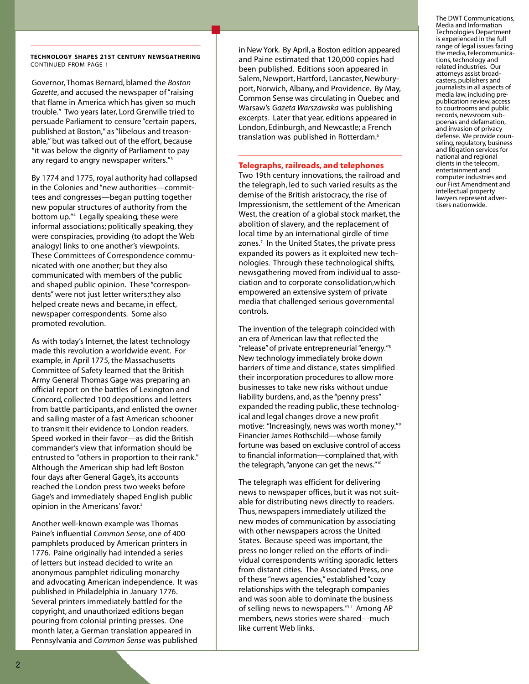**T E C H N O LO G Y S H A P E S 2 1S T C E N T U RY N EWS G AT H E R I N G** CONTINUED FROM PAGE 1

Governor, Thomas Bernard, blamed the *Boston Gazette*, and accused the newspaper of "raising" that flame in America which has given so much trouble." Two years later, Lord Grenville tried to persuade Parliament to censure "certain papers, published at Boston," as "libelous and treasonable," but was talked out of the effort, because "it was below the dignity of Parliament to pay any regard to angry newspaper writers."<sup>3</sup>

By 1774 and 1775, royal authority had collapsed in the Colonies and "new authorities-committees and congresses—began putting together new popular structures of authority from the bottom up."<sup>4</sup> Legally speaking, these were informal associations; politically speaking, they were conspiracies, providing (to adopt the Web analogy) links to one another's viewpoints. These Committees of Correspondence communicated with one another; but they also communicated with members of the public and shaped public opinion. These "correspondents" were not just letter writers; they also helped create news and became, in effect, newspaper correspondents. Some also promoted revolution.

As with today's Internet, the latest technology made this revolution a worldwide event. For example, in April 1775, the Massachusetts Committee of Safety learned that the British Army General Thomas Gage was preparing an official report on the battles of Lexington and Concord, collected 100 depositions and letters from battle participants, and enlisted the owner and sailing master of a fast American schooner to transmit their evidence to London readers. Speed worked in their favor—as did the British commander's view that information should be entrusted to "others in proportion to their rank." Although the American ship had left Boston four days after General Gage's, its accounts reached the London press two weeks before Gage's and immediately shaped English public opinion in the Americans' favor.<sup>5</sup>

Another well-known example was Thomas Paine's influential *Common Sense*, one of 400 pamphlets produced by American printers in 1776. Paine originally had intended a series of letters but instead decided to write an a n onymous pamphlet ridiculing monarchy and advocating American independence. It was published in Philadelphia in January 1776. Several printers immediately battled for the copyright, and unauthorized editions began pouring from colonial printing presses. One month later, a German translation appeared in Pennsylvania and *Common Sense* was published

in New York. By April, a Boston edition appeared and Paine estimated that 120,000 copies had been published. Editions soon appeared in Salem, Newport, Hartford, Lancaster, Newburyport, Norwich, Albany, and Providence. By May, Common Sense was circulating in Quebec and Warsaw's Gazeta Warszawska was publishing excerpts. Later that year, editions appeared in London, Edinburgh, and Newcastle; a French translation was published in Rotterdam.<sup>6</sup>

## **Telegraphs, railroads, and telephones**

Two 19th century innovations, the railroad and the telegraph, led to such varied results as the demise of the British aristocracy, the rise of Impressionism, the settlement of the American West, the creation of a global stock market, the abolition of slavery, and the replacement of local time by an international girdle of time zones.<sup>7</sup> In the United States, the private press expanded its powers as it exploited new technologies. Through these technological shifts, news gathering moved from individual to association and to corporate consolidation, which empowered an extensive system of private media that challenged serious governmental controls.

The invention of the telegraph coincided with an era of American law that reflected the "release"of private entrepreneurial "energy."<sup>8</sup> New technology immediately broke down barriers of time and distance, states simplified their incorporation procedures to allow more businesses to take new risks without undue liability burdens, and, as the "penny press" expanded the reading public, these technological and legal changes drove a new profit motive: "Increasingly, news was worth money."<sup>9</sup> Financier James Rothschild—whose family fortune was based on exclusive control of access to financial information—complained that, with the telegraph, "anyone can get the news."<sup>10</sup>

The telegraph was efficient for delivering news to newspaper offices, but it was not suitable for distributing news directly to readers. Thus, newspapers immediately utilized the new modes of communication by associating with other newspapers across the United States. Because speed was important, the press no longer relied on the efforts of individual correspondents writing sporadic letters from distant cities. The Associated Press, one of these "news agencies," established "cozy relationships with the telegraph companies and was soon able to dominate the business of selling news to newspapers. $"11}$  Among AP members, news stories were shared—much like current Web links.

The DWT Communications, Media and Information Technologies Department is experienced in the full range of legal issues facing the media, telecommunications, technology and related industries. Our attorneys assist broadcasters, publishers and journalists in all aspects of media law, including prepublication review, access to courtrooms and public records, newsroom subpoenas and defamation, and invasion of privacy defense. We provide counseling, regulatory, business and litigation services for national and regional clients in the telecom, entertainment and computer industries and our First Amendment and intellectual property lawyers represent advertisers nationwide.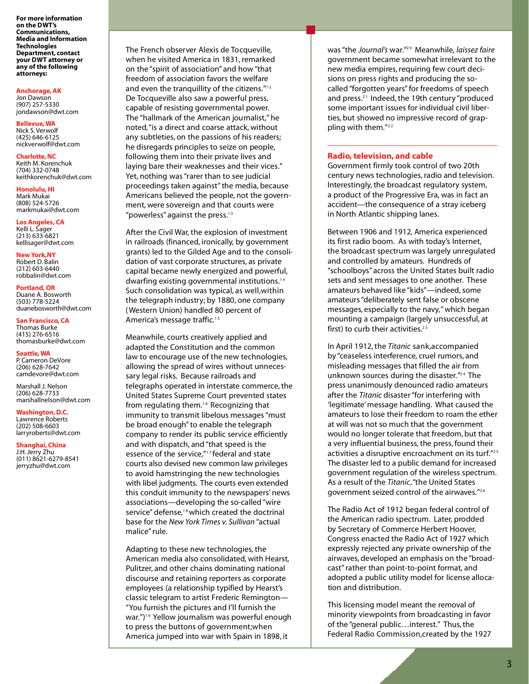**For more information on the DWT's Communications, Media and Information Technologies Department, contact your DWT attorney or any of the following attorneys:**

#### **Anchorage,AK**

Jon Dawson (907) 257-5330 jondawson@dwt.com

**Bellevue, WA** Nick S. Verwolf

(425) 646-6125 nickverwolf@dwt.com

**Charlotte, NC** 

Keith M. Korenchuk (704) 332-0748 keithkorenchuk@dwt.com

**Honolulu, HI** Mark Mukai (808) 524-5726 markmukai@dwt.com

**Los Angeles, CA** Kelli L. Sager (213) 633-6821 kellisager@dwt.com

**New York,NY** Robert D. Balin (212) 603-6440 robbalin@dwt.com

**Portland, OR** Duane A. Bosworth (503) 778-5224 duanebosworth@dwt.com

**San Francisco, CA** Thomas Burke (415) 276-6516 thomasburke@dwt.com

**Seattle, WA** P. Cameron DeVore (206) 628-7642 camdevore@dwt.com

Marshall J. Nelson (206) 628-7733 marshallnelson@dwt.com

**Washington,D.C.** Lawrence Roberts (202) 508-6603

larryroberts@dwt.com

**Shanghai, China** J.H.Jerry Zhu

(011) 8621-6279-8541 jerryzhu@dwt.com

The French observer Alexis de Tocqueville, when he visited America in 1831, remarked on the "spirit of association" and how "that freedom of association favors the welfare and even the tranguillity of the citizens." $12$ De Tocqueville also saw a powerful press, capable of resisting governmental power. The "hallmark of the American journalist," he noted, "is a direct and coarse attack, without any subtleties, on the passions of his readers; he disregards principles to seize on people, following them into their private lives and laying bare their weaknesses and their vices." Yet, nothing was "rarer than to see judicial proceedings taken against" the media, because Americans believed the people, not the government, were sovereign and that courts were "powerless" against the press. $13$ 

After the Civil War, the explosion of investment in railroads (financed, ironically, by government grants) led to the Gilded Age and to the consolidation of vast corporate structures, as private capital became newly energized and powerful, dwarfing existing governmental institutions.<sup>14</sup> Such consolidation was typical, as well, within the telegraph industry; by 1880, one company (Western Union) handled 80 percent of America's message traffic.<sup>15</sup>

Meanwhile, courts creatively applied and adapted the Constitution and the common law to encourage use of the new technologies, allowing the spread of wires without unnecessary legal risks. Because railroads and telegraphs operated in interstate commerce, the United States Supreme Court prevented states from regulating them.<sup>16</sup> Recognizing that im munity to transmit libelous messages "must be broad enough" to enable the telegraph company to render its public service efficiently and with dispatch, and "that speed is the essence of the service. $n_{12}$  federal and state courts also devised new common law privileges to avoid hamstringing the new technologies with libel judgments. The courts even extended this conduit immunity to the newspapers' news associations-developing the so-called "wire service" defense,<sup>18</sup> which created the doctrinal base for the *New York Times v. Sullivan* "actual malice" rule.

Adapting to these new technologies, the American media also consolidated, with Hearst, Pulitzer, and other chains dominating national discourse and retaining reporters as corporate employees (a relationship typified by Hearst's classic telegram to artist Frederic Remington-"You furnish the pictures and I'll furnish the war.")<sup>19</sup> Yellow journalism was powerful enough to press the buttons of government; when America jumped into war with Spain in 1898, it

was "the *Journal's* war."<sup>20</sup> Meanwhile, laissez faire government became somewhat irrelevant to the new media empires, requiring few court decisions on press rights and producing the socalled "forgotten years" for freedoms of speech and press.<sup>21</sup> Indeed, the 19th century "produced some important issues for individual civil liberties, but showed no impressive record of grappling with them."<sup>22</sup>

## **Radio, television, and cable**

Government firmly took control of two 20th century news technologies, radio and television. Interestingly, the broadcast regulatory system, a product of the Progressive Era, was in fact an accident—the consequence of a stray iceberg in North Atlantic shipping lanes.

Between 1906 and 1912, America experienced its first radio boom. As with today's Internet, the broadcast spectrum was largely unregulated and controlled by amateurs. Hundreds of "schoolboys" across the United States built radio sets and sent messages to one another. These a mateurs behaved like "kids"—indeed, some amateurs "deliberately sent false or obscene messages, especially to the navy," which began mounting a campaign (largely unsuccessful, at first) to curb their activities.<sup>23</sup>

In April 1912, the *Titanic* sank, accompanied by "ceaseless interference, cruel rumors, and misleading messages that filled the air from unknown sources during the disaster."<sup>24</sup> The press unanimously denounced radio amateurs after the *Titanic* disaster "for interfering with 'legitimate' message handling. What caused the amateurs to lose their freedom to roam the ether at will was not so much that the government would no longer tolerate that freedom, but that a very influential business, the press, found their activities a disruptive encroachment on its turf."<sup>25</sup> The disaster led to a public demand for increased government regulation of the wireless spectrum. As a result of the *Titanic*, "the United States government seized control of the airwaves."<sup>26</sup>

The Radio Act of 1912 began federal control of the American radio spectrum. Later, prodded by Secretary of Commerce Herbert Hoover, Congress enacted the Radio Act of 1927 which expressly rejected any private ownership of the airwaves, developed an emphasis on the "broadcast" rather than point-to-point format, and adopted a public utility model for license allocation and distribution.

This licensing model meant the removal of minority viewpoints from broadcasting in favor of the "general public...interest." Thus, the Federal Radio Commission, created by the 1927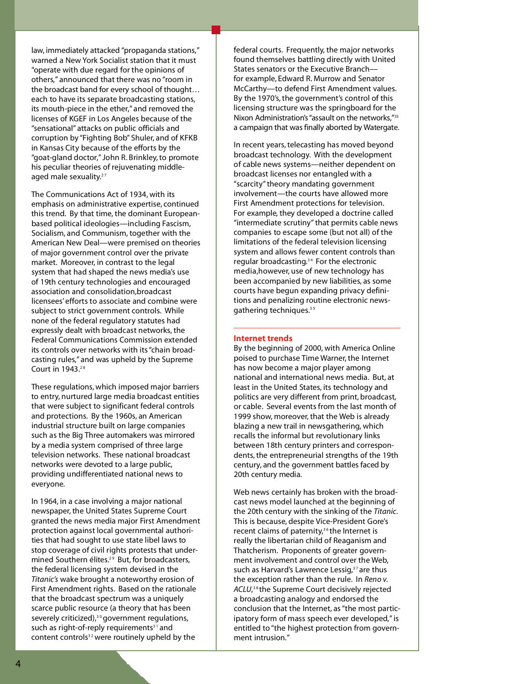law, immediately attacked "propaganda stations," warned a New York Socialist station that it must "operate with due regard for the opinions of others," announced that there was no "room in the broadcast band for every school of thought... each to have its separate broadcasting stations, its mouth-piece in the ether," and removed the licenses of KGEF in Los Angeles because of the "sensational" attacks on public officials and corruption by "Fighting Bob" Shuler, and of KFKB in Kansas City because of the efforts by the "goat-gland doctor," John R. Brinkley, to promote his peculiar theories of rejuvenating middleaged male sexuality. $27$ 

The Communications Act of 1934, with its emphasis on administrative expertise, continued this trend. By that time, the dominant Europeanbased political ideologies—including Fascism, Socialism, and Communism, together with the American New Deal--were premised on theories of major government control over the private market. Moreover, in contrast to the legal system that had shaped the news media's use of 19th century technologies and encouraged association and consolidation.broadcast licensees' efforts to associate and combine were subject to strict government controls. While none of the federal regulatory statutes had expressly dealt with broadcast networks, the Federal Communications Commission extended its controls over networks with its "chain broadcasting rules," and was upheld by the Supreme Court in 1943.<sup>28</sup>

These regulations, which imposed major barriers to entry, nurtured large media broadcast entities that were subject to significant federal controls and protections. By the 1960s, an American industrial structure built on large companies such as the Big Three automakers was mirrored by a media system comprised of three large television networks. These national broadcast networks were devoted to a large public, providing undifferentiated national news to everyone.

In 1964, in a case involving a major national newspaper, the United States Supreme Court granted the news media major First Amendment protection against local governmental authorities that had sought to use state libel laws to stop coverage of civil rights protests that undermined Southern élites.<sup>29</sup> But, for broadcasters, the federal licensing system devised in the Titanic's wake brought a noteworthy erosion of First Amendment rights. Based on the rationale that the broadcast spectrum was a uniquely scarce public resource (a theory that has been s everely criticized),  $30$  government requlations, such as right-of-reply requirements<sup>31</sup> and content controls $32$  were routinely upheld by the

federal courts. Frequently, the major networks found themselves battling directly with United States senators or the Executive Branchfor example, Edward R. Murrow and Senator McCarthy-to defend First Amendment values. By the 1970's, the government's control of this licensing structure was the springboard for the Nixon Administration's "assault on the networks,"33 a campaign that was finally aborted by Watergate.

In recent years, telecasting has moved beyond broadcast technology. With the development of cable news systems-neither dependent on broadcast licenses nor entangled with a "scarcity" theory mandating government involvement—the courts have allowed more First Amendment protections for television. For example, they developed a doctrine called "intermediate scrutiny" that permits cable news companies to escape some (but not all) of the limitations of the federal television licensing system and allows fewer content controls than regular broadcasting.<sup>34</sup> For the electronic media, however, use of new technology has been accompanied by new liabilities, as some courts have begun expanding privacy definitions and penalizing routine electronic newsgathering techniques. $35$ 

## **Internet trends**

By the beginning of 2000, with America Online poised to purchase Time Warner, the Internet has now become a major player among national and international news media. But, at least in the United States, its technology and politics are very different from print, broadcast, or cable. Several events from the last month of 1999 show, moreover, that the Web is already blazing a new trail in newsgathering, which recalls the informal but revolutionary links between 18th century printers and correspondents, the entrepreneurial strengths of the 19th century, and the government battles faced by 20th century media.

Web news certainly has broken with the broadcast news model launched at the beginning of the 20th century with the sinking of the *Titanic*. This is because, despite Vice-President Gore's recent claims of paternity,<sup>36</sup> the Internet is really the libertarian child of Reaganism and Thatcherism. Proponents of greater government involvement and control over the Web, such as Harvard's Lawrence Lessig,<sup>37</sup> are thus the exception rather than the rule. In *Renov*. ACLU,<sup>38</sup> the Supreme Court decisively rejected a broadcasting analogy and endorsed the conclusion that the Internet, as "the most participatory form of mass speech ever developed," is entitled to "the highest protection from government intrusion."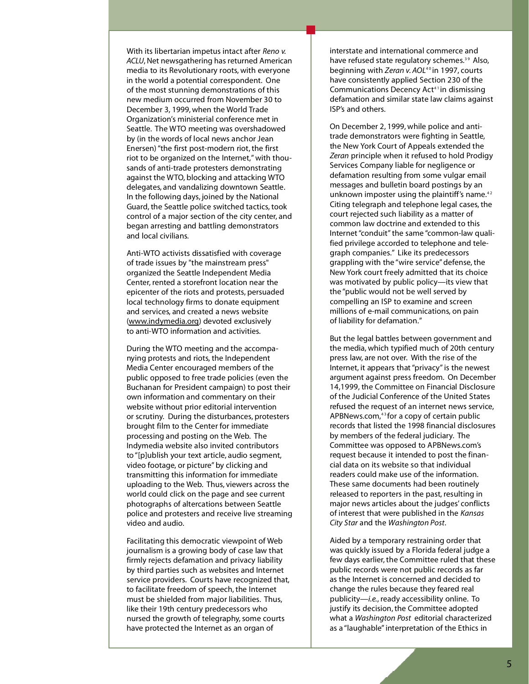With its libertarian impetus intact after *Reno v. ACLU*, Net newsgathering has returned American media to its Revolutionary roots, with everyone in the world a potential correspondent. One of the most stunning demonstrations of this new medium occurred from November 30 to December 3, 1999, when the World Trade Organization's ministerial conference met in Seattle. The WTO meeting was overshadowed by (in the words of local news anchor Jean Enersen) "the first post-modern riot, the first riot to be organized on the Internet," with thousands of anti-trade protesters demonstrating against the WTO, blocking and attacking WTO delegates, and vandalizing downtown Seattle. In the following days, joined by the National Guard, the Seattle police switched tactics, took control of a major section of the city center, and began arresting and battling demonstrators and local civilians.

Anti-WTO activists dissatisfied with coverage of trade issues by "the mainstream press" organized the Seattle Independent Media Center, rented a storefront location near the epicenter of the riots and protests, persuaded local technology firms to donate equipment and services, and created a news website (www.indymedia.org) devoted exclusively to anti-WTO information and activities.

During the WTO meeting and the accompanying protests and riots, the Independent Media Center encouraged members of the public opposed to free trade policies (even the Buchanan for President campaign) to post their own information and commentary on their website without prior editorial intervention or scrutiny. During the disturbances, protesters brought film to the Center for immediate processing and posting on the Web. The Indymedia website also invited contributors to "[p]ublish your text article, audio segment, video footage, or picture" by clicking and transmitting this information for immediate uploading to the Web. Thus, viewers across the world could click on the page and see current photographs of altercations between Seattle police and protesters and receive live streaming video and audio.

Facilitating this democratic viewpoint of Web journalism is a growing body of case law that firmly rejects defamation and privacy liability by third parties such as websites and Internet service providers. Courts have recognized that, to facilitate freedom of speech, the Internet must be shielded from major liabilities. Thus, like their 19th century predecessors who nursed the growth of telegraphy, some courts have protected the Internet as an organ of

interstate and international commerce and have refused state regulatory schemes.<sup>39</sup> Also, beginning with *Zeran v. AOL<sup>40</sup> in 1997*, courts have consistently applied Section 230 of the Communications Decency Act<sup>41</sup> in dismissing defamation and similar state law claims against ISP's and others.

On December 2, 1999, while police and antitrade demonstrators were fighting in Seattle, the New York Court of Appeals extended the Zeran principle when it refused to hold Prodigy Services Company liable for negligence or defamation resulting from some vulgar email messages and bulletin board postings by an unknown imposter using the plaintiff's name.<sup>42</sup> Citing telegraph and telephone legal cases, the court rejected such liability as a matter of common law doctrine and extended to this Internet "conduit" the same "common-law qualified privilege accorded to telephone and telegraph companies." Like its predecessors grappling with the "wire service" defense, the New York court freely admitted that its choice was motivated by public policy—its view that the "public would not be well served by compelling an ISP to examine and screen millions of e-mail communications, on pain of liability for defamation."

But the legal battles between government and the media, which typified much of 20th century press law, are not over. With the rise of the Internet, it appears that "privacy" is the newest argument against press freedom. On December 14,1999, the Committee on Financial Disclosure of the Judicial Conference of the United States refused the request of an internet news service, APBNews.com, $43$  for a copy of certain public records that listed the 1998 financial disclosures by members of the federal judiciary. The Committee was opposed to APBNews.com's request because it intended to post the financial data on its website so that individual readers could make use of the information. These same documents had been routinely released to reporters in the past, resulting in major news articles about the judges' conflicts of interest that were published in the *Kansas City Star* and the *Washington Post*.

Aided by a temporary restraining order that was quickly issued by a Florida federal judge a few days earlier, the Committee ruled that these public records were not public records as far as the Internet is concerned and decided to change the rules because they feared real publicity-*i.e.*, ready accessibility online. To justify its decision, the Committee adopted what a *Washington Post* editorial characterized as a "laughable" interpretation of the Ethics in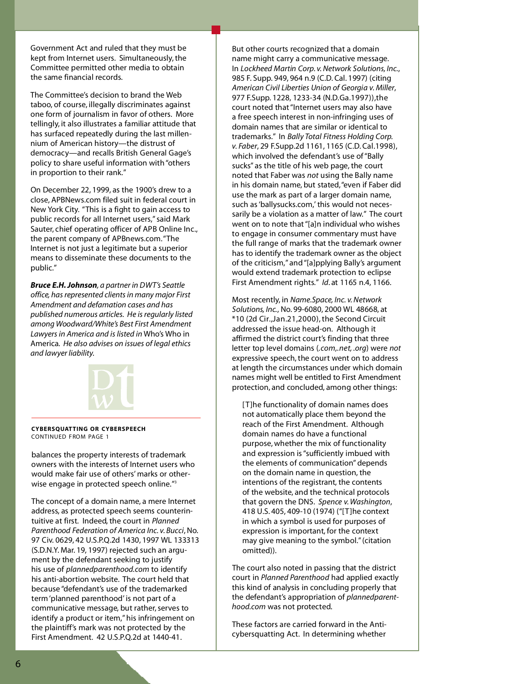Government Act and ruled that they must be kept from Internet users. Simultaneously, the Committee permitted other media to obtain the same financial records.

The Committee's decision to brand the Web taboo, of course, illegally discriminates against one form of journalism in favor of others. More tellingly, it also illustrates a familiar attitude that has surfaced repeatedly during the last millennium of American history—the distrust of democracy—and recalls British General Gage's policy to share useful information with "others in proportion to their rank."

On December 22, 1999, as the 1900's drew to a close, APBNews.com filed suit in federal court in New York City. "This is a fight to gain access to public records for all Internet users," said Mark Sauter, chief operating officer of APB Online Inc., the parent company of APBnews.com. "The Internet is not just a legitimate but a superior means to disseminate these documents to the public."

*Bruce E.H.Johnson, a partner in DWT's Seattle office, has represented clients in many major First Amendment and defamation cases and has published numerous articles. He is regularly listed among Woodward/White's Best First Amendment Lawyers in America and is listed in* Who's Who in America*. He also advises on issues of legal ethics and lawyer liability.*



**C Y B E R S Q UATT I N G O R C Y B E R S P E E C H** CONTINUED FROM PAGE 1

balances the property interests of trademark owners with the interests of Internet users who would make fair use of others' marks or otherwise engage in protected speech online."<sup>3</sup>

The concept of a domain name, a mere Internet address, as protected speech seems counterintuitive at first. Indeed, the court in *Planned Parenthood Federation of America Inc. v. Bucci, No.* 97 Civ. 0629, 42 U.S.P.Q.2d 1430, 1997 WL 133313 (S.D.N.Y. Mar. 19, 1997) rejected such an argument by the defendant seeking to justify his use of *plannedparenthood.com* to identify his anti-abortion website. The court held that because "defendant's use of the trademarked term 'planned parenthood' is not part of a communicative message, but rather, serves to id entify a product or item," his infring ement on the plaintiff's mark was not protected by the First Amendment. 42 U.S.P.Q.2d at 1440-41.

But other courts recognized that a domain name might carry a communicative message. In *Lockheed Martin Corp. v. Network Solutions, Inc.,* 985 F. Supp. 949, 964 n.9 (C.D. Cal. 1997) (citing American Civil Liberties Union of Georgia v. Miller, 977 F. Supp. 1228, 1233-34 (N.D. Ga. 1997)), the court noted that "Internet users may also have a free speech interest in non-infringing uses of domain names that are similar or identical to trademarks." In *Bally Total Fitness Holding Corp. v. Faber,* 29 F. Supp. 2d 1161, 1165 (C.D. Cal. 1998), which involved the defendant's use of "Bally sucks" as the title of his web page, the court noted that Faber was *not* using the Bally name in his domain name, but stated, "even if Faber did use the mark as part of a larger domain name, such as 'ballysucks.com,' this would not necessarily be a violation as a matter of law." The court went on to note that "[a]n individual who wishes to engage in consumer commentary must have the full range of marks that the trademark owner has to identify the trademark owner as the object of the criticism," and "[a]pplying Bally's argument would extend trademark protection to eclipse First Amendment rights." *Id.* at 1165 n.4, 1166.

Most recently, in *Name. Space, Inc. v. Network Solutions, Inc., No.* 99-6080, 2000 WL 48668, at  $*10$  (2d Cir., Jan.21, 2000), the Second Circuit addressed the issue head-on. Although it affirmed the district court's finding that three letter top level domains (*.com*, *net*, *.org*) were *not* expressive speech, the court went on to address at length the circumstances under which domain names might well be entitled to First Amendment protection, and concluded, among other things:

[T]he functionality of domain names does not automatically place them beyond the reach of the First Amendment. Although domain names do have a functional purpose, whether the mix of functionality and expression is "sufficiently imbued with the elements of communication" depends on the domain name in question, the intentions of the registrant, the contents of the website, and the technical protocols that govern the DNS. Spence v. Washington, 418 U.S. 405, 409-10 (1974) ("[T]he context in which a symbol is used for purposes of expression is important, for the context may give meaning to the symbol." (citation omitted)).

The court also noted in passing that the district court in *Planned Parenthood* had applied exactly this kind of analysis in concluding properly that the defendant's appropriation of *plannedparenthood.com* was not protected.

These factors are carried forward in the Anticybers quatting Act. In determining whether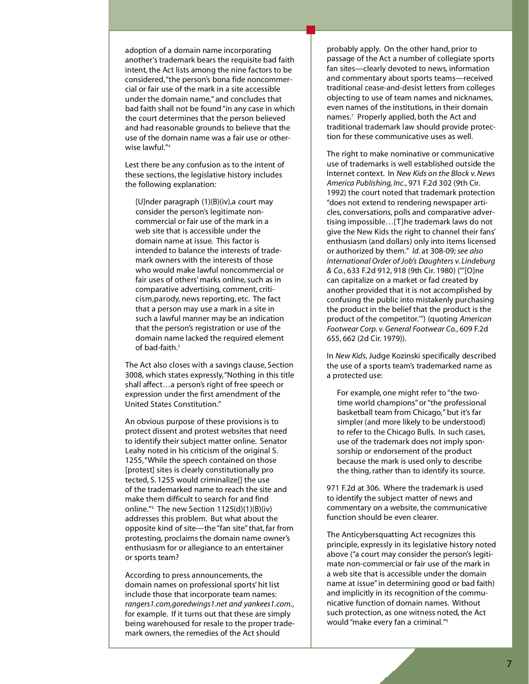adoption of a domain name incorporating another's trademark bears the requisite bad faith intent, the Act lists among the nine factors to be considered, "the person's bona fide noncommercial or fair use of the mark in a site accessible under the domain name," and concludes that bad faith shall not be found "in any case in which the court determines that the person believed and had reasonable grounds to believe that the use of the domain name was a fair use or otherwise lawful."<sup>4</sup>

Lest there be any confusion as to the intent of these sections, the legislative history includes the following explanation:

[U]nder paragraph (1)(B)(iv),a court may consider the person's legitimate noncommercial or fair use of the mark in a web site that is accessible under the domain name at issue. This factor is intended to balance the interests of trademark owners with the interests of those who would make lawful noncommercial or fair uses of others' marks online, such as in comparative advertising, comment, criticism, parody, news reporting, etc. The fact that a person may use a mark in a site in such a lawful manner may be an indication that the person's registration or use of the domain name lacked the required element of bad-faith.<sup>5</sup>

The Act also closes with a savings clause, Section 3008, which states expressly, "Nothing in this title shall affect...a person's right of free speech or expression under the first amendment of the United States Constitution."

An obvious purpose of these provisions is to protect dissent and protest websites that need to identify their subject matter online. Senator Leahy noted in his criticism of the original S. 1255, "While the speech contained on those [protest] sites is clearly constitutionally pro tected, S. 1255 would criminalize $[]$  the use of the trademarked name to reach the site and make them difficult to search for and find online."<sup>6</sup> The new Section  $1125(d)(1)(B)(iv)$ addresses this problem. But what about the opposite kind of site—the "fan site" that, far from protesting, proclaims the domain name owner's enthusiasm for or allegiance to an entertainer or sports team?

According to press announcements, the domain names on professional sports' hit list include those that incorporate team names: *rangers1.com,goredwings1.net and yankees1.com.*, for example. If it turns out that these are simply being warehoused for resale to the proper trademark owners, the remedies of the Act should

probably apply. On the other hand, prior to passage of the Act a number of collegiate sports fan sites—clearly devoted to news, information and commentary about sports teams-received traditional cease-and-desist letters from colleges objecting to use of team names and nicknames, even names of the institutions, in their domain names.<sup>7</sup> Properly applied, both the Act and traditional trademark law should provide protection for these communicative uses as well.

The right to make nominative or communicative use of trademarks is well established outside the Internet context. In *New Kids on the Block v. News Am e ri ca Pu b l i s h i n g, I n c.*, 971 F.2d 302 (9th Ci r. 1992) the court noted that trademark protection "does not extend to rendering newspaper articles, conversations, polls and comparative advertising impossible...[T]he trademark laws do not give the New Kids the right to channel their fans' enthusiasm (and dollars) only into items licensed or authorized by them." *Id.* at 308-09; see also *International Order of Job's Daughters v. Lindeburg & Co.*, 633 F.2d 912, 918 (9th Cir. 1980) ("[O]ne can capitalize on a market or fad created by another provided that it is not accomplished by confusing the public into mistakenly purchasing the product in the belief that the product is the product of the competitor."") (quoting American Footwear Corp. v. General Footwear Co., 609 F.2d 655, 662 (2d Cir. 1979)).

In *New Kids*, Judge Kozinski specifically described the use of a sports team's trademarked name as a protected use:

For example, one might refer to "the twotime world champions" or "the professional basketball team from Chicago," but it's far simpler (and more likely to be understood) to refer to the Chicago Bulls. In such cases, use of the trademark does not imply sponsorship or endorsement of the product because the mark is used only to describe the thing, rather than to identify its source.

971 F.2d at 306. Where the trademark is used to identify the subject matter of news and commentary on a website, the communicative function should be even clearer.

The Anticybers quatting Act recognizes this principle, expressly in its legislative history noted above ("a court may consider the person's legitimate non-commercial or fair use of the mark in a web site that is accessible under the domain name at issue" in determining good or bad faith) and implicitly in its recognition of the communicative function of domain names. Without such protection, as one witness noted, the Act would "make every fan a criminal."<sup>9</sup>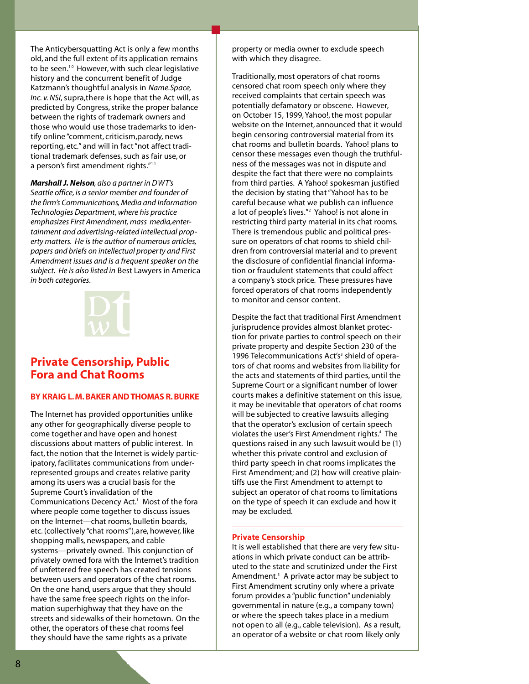The Anticybers quatting Act is only a few months old, and the full extent of its application remains to be seen.<sup>10</sup> However, with such clear legislative history and the concurrent benefit of Judge Katzmann's thoughtful analysis in *Name. Space*, *Inc. v. NSI*, supra, there is hope that the Act will, as predicted by Congress, strike the proper balance between the rights of trademark owners and those who would use those trademarks to identify online "comment, criticism, parody, news reporting, etc." and will in fact "not affect traditional trademark defenses, such as fair use, or a person's first amendment rights."<sup>11</sup>

*Marshall J. Nelson, also a partner in DWT's Seattle office, is a senior member and founder of the firm's Communications, Media and Information Technologies Department,where his practice emphasizes First Amendment, mass media,entertainment and advertising-related intellectual property matters. He is the author of numerous articles, papers and briefs on intellectual property and First Amendment issues and is a frequent speaker on the subject. He is also listed in* Best Lawyers in America *in both categories.*



# **Private Censorship, Public Fora and Chat Rooms**

## **BY KRAIG L.M. BAKER AND THOMAS R. BURKE**

The Internet has provided opportunities unlike any other for geographically diverse people to come together and have open and honest discussions about matters of public interest. In fact, the notion that the Internet is widely participatory, facilitates communications from underrepresented groups and creates relative parity among its users was a crucial basis for the Supreme Court's invalidation of the Communications Decency Act.<sup>1</sup> Most of the fora where people come together to discuss issues on the Internet-chat rooms, bulletin boards, etc. (collectively "chat rooms"), are, however, like shopping malls, newspapers, and cable systems-privately owned. This conjunction of privately owned fora with the Internet's tradition of unfettered free speech has created tensions between users and operators of the chat rooms. On the one hand, users argue that they should have the same free speech rights on the information superhighway that they have on the streets and sidewalks of their hometown. On the other, the operators of these chat rooms feel they should have the same rights as a private

property or media owner to exclude speech with which they disagree.

Traditionally, most operators of chat rooms censored chat room speech only where they received complaints that certain speech was potentially defamatory or obscene. However, on October 15, 1999, Yahoo!, the most popular website on the Internet, announced that it would begin censoring controversial material from its chat rooms and bulletin boards. Yahoo! plans to censor these messages even though the truthfulness of the messages was not in dispute and despite the fact that there were no complaints from third parties. A Yahoo! spokesman justified the decision by stating that "Yahoo! has to be careful because what we publish can influence a lot of people's lives."<sup>2</sup> Yahoo! is not alone in restricting third party material in its chat rooms. There is tremendous public and political pressure on operators of chat rooms to shield children from controversial material and to prevent the disclosure of confidential financial information or fraudulent statements that could affect a company's stock price. These pressures have forced operators of chat rooms independently to monitor and censor content.

Despite the fact that traditional First Amendment jurisprudence provides almost blanket protection for private parties to control speech on their private property and despite Section 230 of the 1996 Telecommunications Act's<sup>3</sup> shield of operators of chat rooms and websites from liability for the acts and statements of third parties, until the Supreme Court or a significant number of lower courts makes a definitive statement on this issue, it may be inevitable that operators of chat rooms will be subjected to creative lawsuits alleging that the operator's exclusion of certain speech violates the user's First Amendment rights.<sup>4</sup> The questions raised in any such lawsuit would be (1) whether this private control and exclusion of third party speech in chat rooms implicates the First Amendment; and (2) how will creative plaintiffs use the First Amendment to attempt to subject an operator of chat rooms to limitations on the type of speech it can exclude and how it may be excluded.

## **Private Censorship**

It is well established that there are very few situations in which private conduct can be attributed to the state and scrutinized under the First Am endment.<sup>5</sup> A private actor may be subject to First Amendment scrutiny only where a private forum provides a "public function" undeniably governmental in nature (e.g., a company town) or where the speech takes place in a medium not open to all (e.g., cable television). As a result, an operator of a website or chat room likely only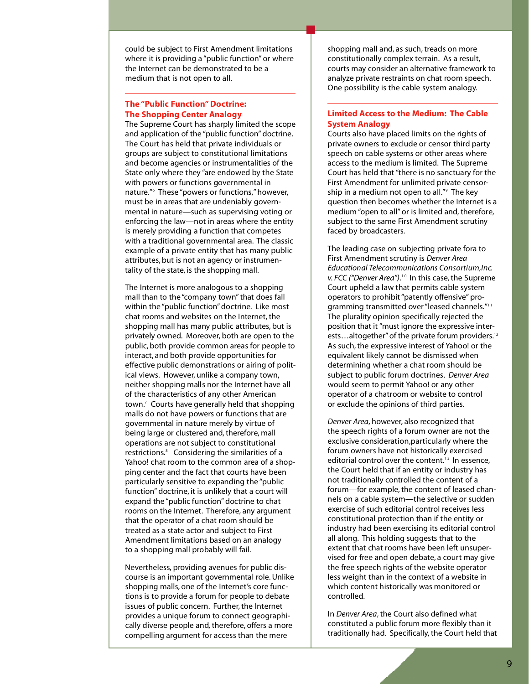could be subject to First Amendment limitations where it is providing a "public function" or where the Internet can be demonstrated to be a medium that is not open to all.

## **The "Public Function" Doctrine: The Shopping Center Analogy**

The Supreme Court has sharply limited the scope and application of the "public function" doctrine. The Court has held that private individuals or groups are subject to constitutional limitations and become agencies or instrumentalities of the State only where they "are endowed by the State with powers or functions governmental in nature."<sup>6</sup> These "powers or functions," however, must be in areas that are undeniably governmental in nature—such as supervising voting or enforcing the law—not in areas where the entity is merely providing a function that competes with a traditional governmental area. The classic example of a private entity that has many public attributes, but is not an agency or instrumentality of the state, is the shopping mall.

The Internet is more analogous to a shopping mall than to the "company town" that does fall within the "public function" doctrine. Like most chat rooms and websites on the Internet, the shopping mall has many public attributes, but is privately owned. Moreover, both are open to the public, both provide common areas for people to interact, and both provide opportunities for effective public demonstrations or airing of political views. However, unlike a company town, neither shopping malls nor the Internet have all of the characteristics of any other American town.<sup>7</sup> Courts have generally held that shopping malls do not have powers or functions that are governmental in nature merely by virtue of being large or clustered and, therefore, mall operations are not subject to constitutional restrictions.<sup>8</sup> Considering the similarities of a Yahoo! chat room to the common area of a shopping center and the fact that courts have been particularly sensitive to expanding the "public function" doctrine, it is unlikely that a court will expand the "public function" doctrine to chat rooms on the Internet. Therefore, any argument that the operator of a chat room should be treated as a state actor and subject to First Amendment limitations based on an analogy to a shopping mall probably will fail.

Nevertheless, providing avenues for public discourse is an important governmental role. Unlike shopping malls, one of the Internet's core functions is to provide a forum for people to debate issues of public concern. Further, the Internet provides a unique forum to connect geographically diverse people and, therefore, offers a more compelling argument for access than the mere

shopping mall and, as such, treads on more constitutionally complex terrain. As a result, courts may consider an alternative framework to an al y ze private restraints on chat room speech. One possibility is the cable system analogy.

## **Limited Access to the Medium: The Cable System Analogy**

Courts also have placed limits on the rights of private owners to exclude or censor third party speech on cable systems or other areas where access to the medium is limited. The Supreme Court has held that "there is no sanctuary for the First Amendment for unlimited private censorship in a medium not open to all."<sup>9</sup> The key question then becomes whether the Internet is a medium "open to all" or is limited and, therefore, subject to the same First Amendment scrutiny faced by broadcasters.

The leading case on subjecting private fora to First Amendment scrutiny is *Denver Area Educational Telecommunications Consortium, Inc.* v. FCC ("Denver Area").<sup>10</sup> In this case, the Supreme Court upheld a law that permits cable system operators to prohibit "patently offensive" programming transmitted over "leased channels."<sup>11</sup> The plurality opinion specifically rejected the position that it "must ignore the expressive interests...altogether" of the private forum providers.<sup>12</sup> As such, the expressive interest of Yahoo! or the equivalent likely cannot be dismissed when determining whether a chat room should be subject to public forum doctrines. Denver Area would seem to permit Yahoo! or any other operator of a chatroom or website to control or exclude the opinions of third parties.

Denver Area, however, also recognized that the speech rights of a forum owner are not the exclusive consideration, particularly where the forum owners have not historically exercised editorial control over the content.<sup>13</sup> In essence, the Court held that if an entity or industry has not traditionally controlled the content of a forum-for example, the content of leased channels on a cable system-the selective or sudden exercise of such editorial control receives less constitutional protection than if the entity or industry had been exercising its editorial control all along. This holding suggests that to the extent that chat rooms have been left unsupervised for free and open debate, a court may give the free speech rights of the website operator less weight than in the context of a website in which content historically was monitored or controlled.

In *Denver Area*, the Court also defined what constituted a public forum more flexibly than it traditionally had. Specifically, the Court held that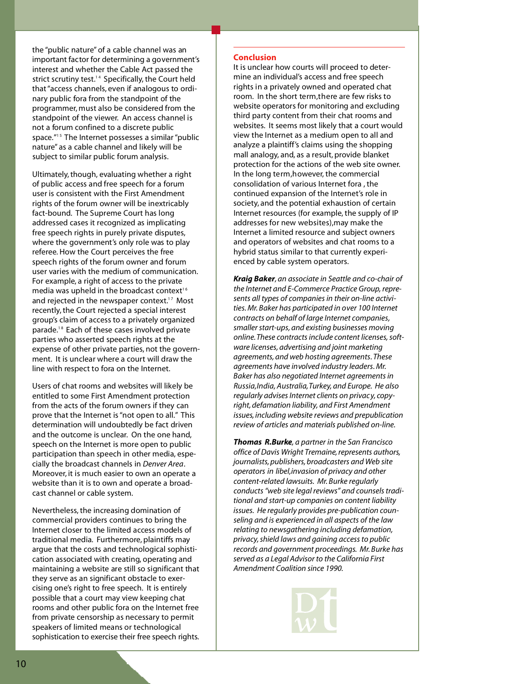the "public nature" of a cable channel was an important factor for determining a government's interest and whether the Cable Act passed the strict scrutiny test.<sup>14</sup> Specifically, the Court held that "access channels, even if analogous to ordinary public fora from the standpoint of the programmer, must also be considered from the stand point of the viewer. An access channel is not a forum confined to a discrete public space."<sup>15</sup> The Internet possesses a similar "public nature" as a cable channel and likely will be subject to similar public forum analysis.

Ultimately, though, evaluating whether a right of public access and free speech for a forum user is consistent with the First Amendment rights of the forum owner will be inextricably fact-bound. The Supreme Court has long addressed cases it recognized as implicating free speech rights in purely private disputes, where the government's only role was to play referee. How the Court perceives the free speech rights of the forum owner and forum user varies with the medium of communication. For example, a right of access to the private media was upheld in the broadcast context<sup>16</sup> and rejected in the newspaper context.<sup>17</sup> Most recently, the Court rejected a special interest group's claim of access to a privately organized parade.<sup>18</sup> Each of these cases involved private parties who asserted speech rights at the expense of other private parties, not the government. It is unclear where a court will draw the line with respect to fora on the Internet.

Users of chat rooms and websites will likely be entitled to some First Amendment protection from the acts of the forum owners if they can prove that the Internet is "not open to all." This determination will undoubtedly be fact driven and the outcome is unclear. On the one hand, speech on the Internet is more open to public participation than speech in other media, especially the broadcast channels in *Denver Area*. Moreover, it is much easier to own an operate a website than it is to own and operate a broadcast channel or cable system.

Nevertheless, the increasing domination of commercial providers continues to bring the Internet closer to the limited access models of traditional media. Furthermore, plaintiffs may arque that the costs and technological sophistication associated with creating, operating and maintaining a website are still so significant that they serve as an significant obstacle to exercising one's right to free speech. It is entirely possible that a court may view keeping chat rooms and other public fora on the Internet free from private censorship as necessary to permit speakers of limited means or technological sophistication to exercise their free speech rights.

## **Conclusion**

It is unclear how courts will proceed to determine an individual's access and free speech rights in a privately owned and operated chat room. In the short term, there are few risks to website operators for monitoring and excluding third party content from their chat rooms and websites. It seems most likely that a court would view the Internet as a medium open to all and analyze a plaintiff's claims using the shopping mall analogy, and, as a result, provide blanket protection for the actions of the web site owner. In the long term, however, the commercial consolidation of various Internet fora, the continued expansion of the Internet's role in society, and the potential exhaustion of certain Internet resources (for example, the supply of IP addresses for new websites), may make the Internet a limited resource and subject owners and operators of websites and chat rooms to a hybrid status similar to that currently experienced by cable system operators.

*Kraig Baker, an associate in Seattle and co-chair of the Internet and E-Commerce Practice Group, represents all types of companies in their on-line activities.Mr. Baker has participated in over 100 Internet contracts on behalf of large Internet companies, smaller start-ups, and existing businesses moving online.These contracts include content licenses,software licenses, advertising and joint marketing agreements, and web hosting agreements. These agreements have involved industry leaders.Mr. Baker has also negotiated Internet agreements in Russia,India, Australia,Turkey, and Europe. He also regularly advises Internet clients on privacy, copyright, defamation liability, and First Amendment issues, including website reviews and prepublication review of articles and materials published on-line.*

*Thomas R.Burke, a partner in the San Francisco office of Davis Wright Tremaine, represents authors, journalists,publishers, broadcasters and Web site operators in libel,invasion of privacy and other content-related lawsuits. Mr. Burke regularly conducts "web site legal reviews" and counsels traditional and start-up companies on content liability issues. He regularly provides pre-publication counseling and is experienced in all aspects of the law relating to newsgathering including defamation, privacy,shield laws and gaining access to public records and government proceedings. Mr. Burke has served as a Legal Advisor to the California First Amendment Coalition since 1990.*

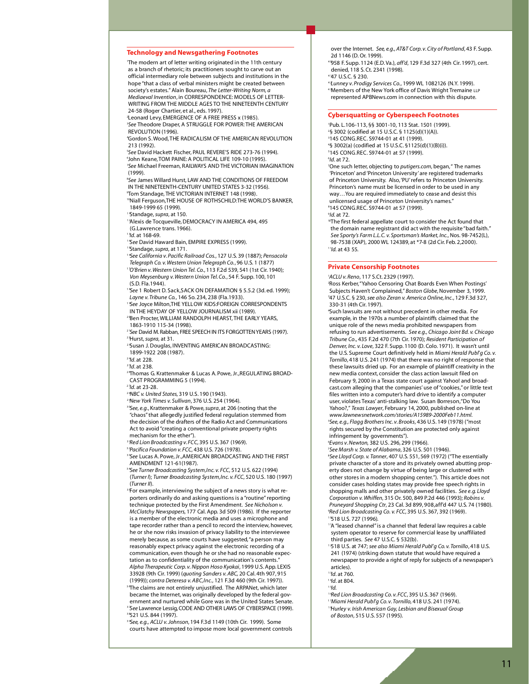#### **Technology and Newsgathering Footnotes**

'The modern art of letter writing originated in the 11th century as a branch of rhetoric; its practitioners sought to carve out an official intermediary role between subjects and institutions in the hope "that a class of verbal ministers might be created between society's estates." Alain Boureau, The Letter-Writing Norm, a *Mediaeval Invention, in CORRESPONDENCE: MODELS OF LETTER-*WRITING FROM THE MIDDLE AGES TO THE NINETEENTH CENTURY 24-58 (Roger Chartier, et al., eds. 1997).

<sup>2</sup> Leonard Levy, EMERGENCE OF A FREE PRESS x (1985). <sup>3</sup>See Theodore Draper, A STRUGGLE FOR POWER: THE AMERICAN REVOLUTION (1996).

<sup>4</sup>Gordon S. Wood, THE RADICALISM OF THE AMERICAN REVOLUTION 213 (1992).

<sup>5</sup>See David Hackett Fischer, PAUL REVERE'S RIDE 273-76 (1994). 'John Keane, TOM PAINE: A POLITICAL LIFE 109-10 (1995). <sup>7</sup>See Michael Freeman, RAILWAYS AND THE VICTORIAN IMAGINATION  $(1999)$ .

8 *See* James Willard Hurst, LAW AND THE CONDITIONS OF FREEDOM IN THE NINETEENTH-CENTURY UNITED STATES 3-32 (1956). <sup>9</sup>Tom Standage, THE VICTORIAN INTERNET 148 (1998).

<sup>10</sup>Niall Ferguson, THE HOUSE OF ROTHSCHILD: THE WORLD'S BANKER, 1849-1999 65 (1999).

<sup>1</sup> Standage, supra, at 150.

<sup>1</sup>'Alexis de Tocqueville, DEMOCRACY IN AMERICA 494, 495 (G.Lawrence trans. 1966).

1 3*I d*. at 168-69.

<sup>'</sup> See David Haward Bain, EMPIRE EXPRESS (1999).

Standage, supra, at 171. 1 6*See Ca l i fornia v. Pacific Ra i l road Co s.*, 127 U.S. 39 (1887); *Pe n s a co l a Te l e g raph Co. v. We s tern Union Te l e g raph Co.*, 96 U.S. 1 (1877)

1 7*O' Brien v. We s tern Union Te l . Co.*, 113 F.2d 539, 541 (1st Ci r. 1 9 4 0 ) ; *Von Meysenburg v. Western Union Tel. Co.*, 54 F. Supp. 100, 101  $(S D$  Fla 1944)

<sup>8</sup>See 1 Robert D. Sack, SACK ON DEFAMATION § 5.5.2 (3d. ed. 1999); Layne v. Tribune Co., 146 So. 234, 238 (Fla. 1933).

1 9*See* Joyce Milton,THE YELLOW KIDS:FOREIGN CORRESPONDENTS IN THE HEYDAY OF YELLOW JOURNALISM xii (1989). <sup>2</sup> Ben Procter, WILLIAM RANDOLPH HEARST, THE EARLY YEARS,

1863-1910 115-34 (1998).

<sup>2</sup> 'See David M. Rabban, FREE SPEECH IN ITS FORGOTTEN YEARS (1997). <sup>2</sup> Hurst, *supra*, at 31.

<sup>2</sup> Susan J. Douglas, INVENTING AMERICAN BROADCASTING:

1899-1922 208 (1987).

2 4*I d*. at 228.

2 5*I d*. at 238.

<sup>2</sup> Thomas G. Kratten maker & Lucas A. Powe, Jr., REGULATING BROAD-CAST PROGRAMMING 5 (1994).

<sup>27</sup>*Id.* at 23-28.

2 8*NBC v. U n i ted State s*, 319 U.S. 190 (1943).

<sup>2</sup> New York Times v. Sullivan, 376 U.S. 254 (1964).

<sup>3</sup> See, e.g., Krattenmaker & Powe, supra, at 206 (noting that the "chaos" that allegedly justified federal regulation stemmed from the decision of the drafters of the Radio Act and Communications Act to avoid "creating a conventional private property rights mechanism for the ether").

<sup>3</sup> 'Red Lion Broadcasting v. FCC, 395 U.S. 367 (1969).

<sup>32</sup> Pacifica Foundation v. FCC, 438 U.S. 726 (1978).

<sup>33</sup>See Lucas A. Powe, Jr., AMERICAN BROADCASTING AND THE FIRST AMENDMENT 121-61(1987).

<sup>3</sup> See Turner Broadcasting System, Inc. v. FCC, 512 U.S. 622 (1994) (*Turner I*); *Turner Broadcasting System,Inc. v. FCC*, 520 U.S. 180 (1997) (*Turner II*) .

<sup>3</sup> For example, interviewing the subiect of a news story is what reporters ordinarily do and asking questions is a "routine" reporting technique protected by the First Amendment. See Nicholson v. *McClatchy Newspapers*, 177 Cal. App. 3d 509 (1986). If the reporter is a member of the electronic media and uses a microphone and tape recorder rather than a pencil to record the interview, however, he or she now risks invasion of privacy liability to the interviewee merely because, as some courts have suggested, "a person may reasonably expect privacy against the electronic recording of a communication, even though he or she had no reasonable expectation as to confidentiality of the communication's contents." Alpha Therapeutic Corp. v. Nippon Hoso Kyokai, 1999 U.S. App. LEXIS 33928 (9th Cir. 1999) (*quoting Sanders v. ABC*, 20 Cal. 4th 907, 915 (1999)); contra Deteresa v. ABC, Inc., 121 F.3d 460 (9th Cir. 1997)). <sup>3</sup> The claims are not entirely unjustified. The ARPANet, which later became the Internet, was originally developed by the federal government and nurtured while Gore was in the United States Senate. <sup>3</sup> 3*See* Lawrence Lessig, CODE AND OTHER LAWS OF CYBERSPACE (1999).

3 8521 U.S. 844 (1997). <sup>3</sup> See, e.g., ACLU v. Johnson, 194 F.3d 1149 (10th Cir. 1999). Some courts have attempted to impose more local government controls

over the Internet. See, e.g., AT&T Corp. v. City of Portland, 43 F. Supp. 2d 1146 (D. Or. 1999)

4958 F. Supp. 1124 (E.D. Va.), aff'd, 129 F.3d 327 (4th Cir. 1997), cert. denied, 118 S. Ct. 2341 (1998).

4 147 U.S.C. § 230.

<sup>4</sup> Lunney v. Prodigy Services Co., 1999 WL 1082126 (N.Y. 1999). <sup>4</sup> Members of the New York office of Davis Wright Tremaine LLP represented APBNews.com in connection with this dispute.

#### **Cybers quatting or Cyberspeech Footnotes**

1Pub. L.106-113, §§ 3001-10, 113 Stat. 1501 (1999). <sup>2</sup>§ 3002 (codified at 15 U.S.C. § 1125(d)(1)(A)). 3145 CONG.REC. S9744-01 at 41 (1999). 4§ 3002(a) (codified at 15 U.S.C. §1125(d)(1)(B)(i)). 5145 CONG.REC. S9744-01 at 57 (1999). 6 *I d*. at 72.

<sup>7</sup>One such letter, objecting to *putigers.com*, began, "The names 'Princeton' and 'Princeton University' are registered trademarks of Princeton University. Also, 'PU' refers to Princeton University. Princeton's name must be licensed in order to be used in any way... You are required immediately to cease and desist this unlicensed usage of Princeton University's names.' <sup>8</sup>145 CONG.REC. S9744-01 at 57 (1999).

9 *I d*. at 72.

<sup>10</sup>The first federal appellate court to consider the Act found that the domain name registrant did act with the requisite "bad faith." See Sporty's Farm L.L.C. v. Sportsman's Market, Inc., Nos. 98-7452(L), 98-7538 (XAP), 2000 WL 124389, at \*7-8 (2d Cir. Feb. 2,2000). <sup>1</sup>  $1/$ *d.* at 43 55.

#### **Private Censorship Footnotes**

<sup>1</sup>*AC LU v. Re n o*, 117 S.Ct. 2329 (1997).

<sup>2</sup>Ross Kerber, "Yahoo Censoring Chat Boards Even When Postings' Subjects Haven't Complained," Boston Globe, November 3, 1999. <sup>3</sup>47 U.S.C. § 230, see also Zeran v. America Online, Inc., 129 F.3d 327, 330-31 (4th Cir. 1997).

<sup>4</sup>Such lawsuits are not without precedent in other media. For example, in the 1970s a number of plaintiffs claimed that the unique role of the news media prohibited newspapers from refusing to run advertisements. See e.g., Chicago Joint Bd. v. Chicago *Tribune Co., 435 F.2d 470 (7th Cir. 1970); Resident Participation of Denver, Inc. v. Love, 322 F. Supp. 1100 (D. Colo. 1971). It wasn't until* the U.S. Supreme Court definitively held in *Miami Herald Publ'g Co.v. Tornillo,* 418 U.S. 241 (1974) that there was no right of response that these lawsuits dried up. For an example of plaintiff creativity in the new media context, consider the class action lawsuit filed on February 9, 2000 in a Texas state court against Yahoo! and broadcast.com alleging that the companies' use of "cookies," or little text files written into a computer's hard drive to identify a computer user, violates Texas' anti-stalking law. Susan Borreson, "Do You Yahoo?," *Texas Lawyer*, February 14, 2000, published on-line at www.lawnewsnetwork.com/stories/A15989-2000Feb11.html. <sup>5</sup>*Se e, e. g. , Flagg Brothers Inc. v. Broo k s*, 436 U.S. 149 (1978) ("most rights secured by the Constitution are protected only against infringement by governments").

<sup>6</sup>*Evans v. New to n*, 382 U.S. 2 9 6 , 299 (1966).

<sup>7</sup>See Marsh v. State of Alabama, 326 U.S. 501 (1946).

<sup>8</sup>See Lloyd Corp. v. Tanner, 407 U.S. 551, 569 (1972) ("The essentially private character of a store and its privately owned abutting property does not change by virtue of being large or clustered with other stores in a modern shopping center."). This article does not consider cases holding states may provide free speech rights in shopping malls and other privately owned facilities. See e.g. Lloyd *Co r po ration v. Wh i f fe n*, 315 Or. 5 0 0 , 849 P.2d 446 (1993); *Robins v.* Pruneyard Shopping Ctr, 23 Cal. 3d 899, 908, aff'd 447 U.S. 74 (1980). <sup>9</sup>Red Lion Broadcasting Co. v. *FCC*, 395 U.S. 367, 392 (1969). <sup>1</sup> "518 U.S. 727 (1996).

<sup>1</sup>'A "leased channel" is a channel that federal law requires a cable system operator to reserve for commercial lease by unaffiliated third parties. See 47 U.S.C. § 532(b).

1 2518 U.S. at 747; *see also Miami He rald Publ'g Co. v. To r n i l l o*, 418 U.S. 241 (1974) (striking down statute that would have required a newspaper to provide a right of reply for subjects of a newspaper's articles).

1 3*I d*. at 760.

1 4*I d*. at 804.  $151d$ .

<sup>1</sup> Red Lion Broadcasting Co. v. FCC, 395 U.S. 367 (1969).

<sup>17</sup>Miami Herald Publ'g Co. v. Tornillo, 418 U.S. 241 (1974). <sup>1</sup> Hurley v. Irish American Gay, Lesbian and Bisexual Group *of Bo s to n*, 515 U.S. 557 (1995).